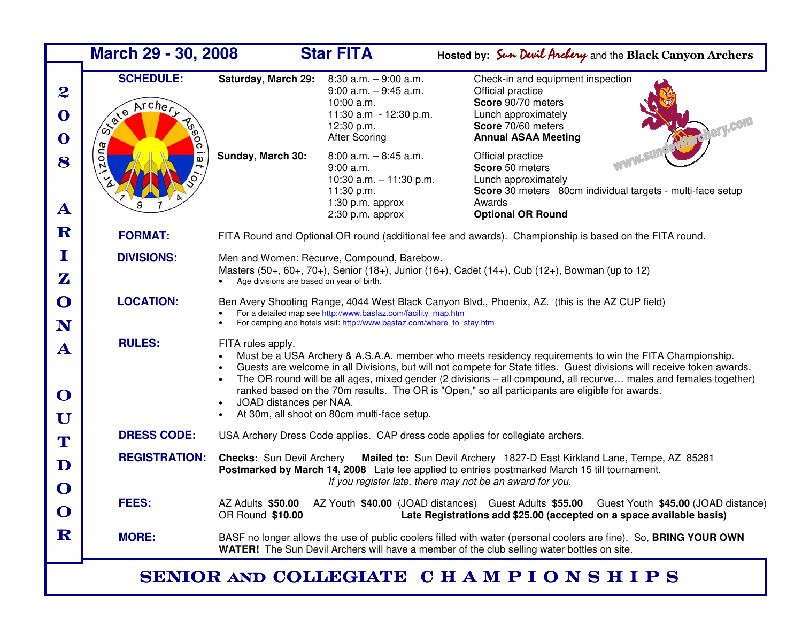| March 29 - 30, 2008                        |                                                   |                                                                                                                                                                                                                                                                                                                                                                                                                                                                                                                                                                                                            | <b>Star FITA</b>                                                                                                                   | Hosted by: Sun Devil Anchery and the Black Canyon Archers                                                                                                          |  |  |  |  |  |
|--------------------------------------------|---------------------------------------------------|------------------------------------------------------------------------------------------------------------------------------------------------------------------------------------------------------------------------------------------------------------------------------------------------------------------------------------------------------------------------------------------------------------------------------------------------------------------------------------------------------------------------------------------------------------------------------------------------------------|------------------------------------------------------------------------------------------------------------------------------------|--------------------------------------------------------------------------------------------------------------------------------------------------------------------|--|--|--|--|--|
| $\boldsymbol{2}$<br>O<br>O                 | <b>SCHEDULE:</b><br>Archery<br><b>01/818</b><br>႙ | <b>Saturday, March 29:</b>                                                                                                                                                                                                                                                                                                                                                                                                                                                                                                                                                                                 | $8:30$ a.m. $-9:00$ a.m.<br>$9:00$ a.m. $-9:45$ a.m.<br>10:00 a.m.<br>11:30 a.m - 12:30 p.m.<br>12:30 p.m.<br><b>After Scoring</b> | Check-in and equipment inspection<br>Official practice<br>Score 90/70 meters<br>Lunch approximately<br>Score 70/60 meters<br><b>Annual ASAA Meeting</b>            |  |  |  |  |  |
| 8<br>$\mathbf{A}$                          | zona<br>$\overline{a}$                            | Sunday, March 30:                                                                                                                                                                                                                                                                                                                                                                                                                                                                                                                                                                                          | $8:00$ a.m. $-8:45$ a.m.<br>9:00 a.m.<br>10:30 a.m. $-11:30$ p.m.<br>11:30 p.m.<br>$1:30$ p.m. approx<br>$2:30$ p.m. approx        | Official practice<br>Score 50 meters<br>Lunch approximately<br>Score 30 meters 80cm individual targets - multi-face setup<br>Awards<br><b>Optional OR Round</b>    |  |  |  |  |  |
| ${\bf R}$                                  | <b>FORMAT:</b>                                    | FITA Round and Optional OR round (additional fee and awards). Championship is based on the FITA round.                                                                                                                                                                                                                                                                                                                                                                                                                                                                                                     |                                                                                                                                    |                                                                                                                                                                    |  |  |  |  |  |
| $\bf I$<br>$\mathbf{Z}$                    | <b>DIVISIONS:</b>                                 | Men and Women: Recurve, Compound, Barebow.<br>Masters (50+, 60+, 70+), Senior (18+), Junior (16+), Cadet (14+), Cub (12+), Bowman (up to 12)<br>Age divisions are based on year of birth.                                                                                                                                                                                                                                                                                                                                                                                                                  |                                                                                                                                    |                                                                                                                                                                    |  |  |  |  |  |
| $\mathbf O$<br>N                           | <b>LOCATION:</b>                                  | Ben Avery Shooting Range, 4044 West Black Canyon Blvd., Phoenix, AZ. (this is the AZ CUP field)<br>For a detailed map see http://www.basfaz.com/facility_map.htm<br>For camping and hotels visit: http://www.basfaz.com/where to stay.htm                                                                                                                                                                                                                                                                                                                                                                  |                                                                                                                                    |                                                                                                                                                                    |  |  |  |  |  |
| $\mathbf{A}$<br>$\mathbf O$<br>$\mathbf U$ | <b>RULES:</b>                                     | FITA rules apply.<br>Must be a USA Archery & A.S.A.A. member who meets residency requirements to win the FITA Championship.<br>Guests are welcome in all Divisions, but will not compete for State titles. Guest divisions will receive token awards.<br>$\bullet$<br>The OR round will be all ages, mixed gender (2 divisions – all compound, all recurve males and females together)<br>$\bullet$<br>ranked based on the 70m results. The OR is "Open," so all participants are eligible for awards.<br>JOAD distances per NAA.<br>$\bullet$<br>At 30m, all shoot on 80cm multi-face setup.<br>$\bullet$ |                                                                                                                                    |                                                                                                                                                                    |  |  |  |  |  |
| T                                          | <b>DRESS CODE:</b>                                | USA Archery Dress Code applies. CAP dress code applies for collegiate archers.                                                                                                                                                                                                                                                                                                                                                                                                                                                                                                                             |                                                                                                                                    |                                                                                                                                                                    |  |  |  |  |  |
| $\mathbf D$                                | <b>REGISTRATION:</b>                              | <b>Checks:</b> Sun Devil Archery<br>Mailed to: Sun Devil Archery 1827-D East Kirkland Lane, Tempe, AZ 85281<br>Postmarked by March 14, 2008 Late fee applied to entries postmarked March 15 till tournament.<br>If you register late, there may not be an award for you.                                                                                                                                                                                                                                                                                                                                   |                                                                                                                                    |                                                                                                                                                                    |  |  |  |  |  |
| $\mathbf O$<br>$\mathbf O$                 | <b>FEES:</b>                                      | AZ Adults \$50.00<br>OR Round \$10.00                                                                                                                                                                                                                                                                                                                                                                                                                                                                                                                                                                      |                                                                                                                                    | AZ Youth \$40.00 (JOAD distances) Guest Adults \$55.00 Guest Youth \$45.00 (JOAD distance)<br>Late Registrations add \$25.00 (accepted on a space available basis) |  |  |  |  |  |
| ${\bf R}$                                  | <b>MORE:</b>                                      | BASF no longer allows the use of public coolers filled with water (personal coolers are fine). So, BRING YOUR OWN<br>WATER! The Sun Devil Archers will have a member of the club selling water bottles on site.                                                                                                                                                                                                                                                                                                                                                                                            |                                                                                                                                    |                                                                                                                                                                    |  |  |  |  |  |
| SENIOR AND COLLEGIATE CHAMPIONSHIPS        |                                                   |                                                                                                                                                                                                                                                                                                                                                                                                                                                                                                                                                                                                            |                                                                                                                                    |                                                                                                                                                                    |  |  |  |  |  |